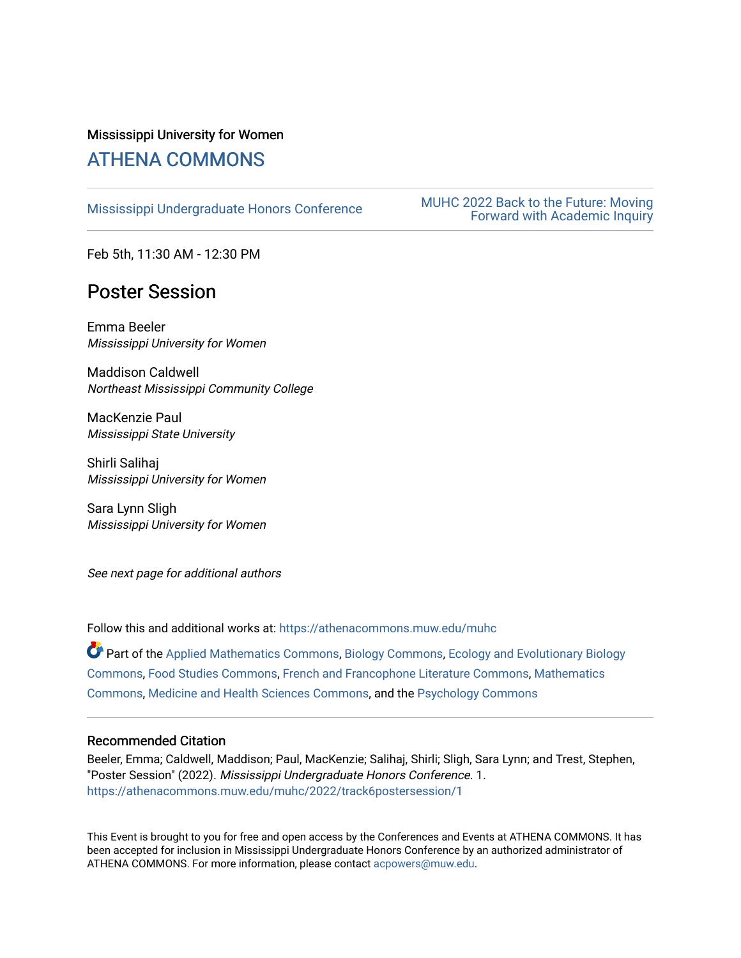### Mississippi University for Women [ATHENA COMMONS](https://athenacommons.muw.edu/)

MUHC 2022 Back to the Future: Moving<br>Mississippi Undergraduate Honors Conference<br>MUHC 2022 Back to the Future: Moving [Forward with Academic Inquiry](https://athenacommons.muw.edu/muhc/2022) 

Feb 5th, 11:30 AM - 12:30 PM

# Poster Session

Emma Beeler Mississippi University for Women

Maddison Caldwell Northeast Mississippi Community College

MacKenzie Paul Mississippi State University

Shirli Salihaj Mississippi University for Women

Sara Lynn Sligh Mississippi University for Women

See next page for additional authors

Follow this and additional works at: [https://athenacommons.muw.edu/muhc](https://athenacommons.muw.edu/muhc?utm_source=athenacommons.muw.edu%2Fmuhc%2F2022%2Ftrack6postersession%2F1&utm_medium=PDF&utm_campaign=PDFCoverPages) 

Part of the [Applied Mathematics Commons](http://network.bepress.com/hgg/discipline/115?utm_source=athenacommons.muw.edu%2Fmuhc%2F2022%2Ftrack6postersession%2F1&utm_medium=PDF&utm_campaign=PDFCoverPages), [Biology Commons](http://network.bepress.com/hgg/discipline/41?utm_source=athenacommons.muw.edu%2Fmuhc%2F2022%2Ftrack6postersession%2F1&utm_medium=PDF&utm_campaign=PDFCoverPages), [Ecology and Evolutionary Biology](http://network.bepress.com/hgg/discipline/14?utm_source=athenacommons.muw.edu%2Fmuhc%2F2022%2Ftrack6postersession%2F1&utm_medium=PDF&utm_campaign=PDFCoverPages) [Commons](http://network.bepress.com/hgg/discipline/14?utm_source=athenacommons.muw.edu%2Fmuhc%2F2022%2Ftrack6postersession%2F1&utm_medium=PDF&utm_campaign=PDFCoverPages), [Food Studies Commons](http://network.bepress.com/hgg/discipline/1386?utm_source=athenacommons.muw.edu%2Fmuhc%2F2022%2Ftrack6postersession%2F1&utm_medium=PDF&utm_campaign=PDFCoverPages), [French and Francophone Literature Commons](http://network.bepress.com/hgg/discipline/465?utm_source=athenacommons.muw.edu%2Fmuhc%2F2022%2Ftrack6postersession%2F1&utm_medium=PDF&utm_campaign=PDFCoverPages), [Mathematics](http://network.bepress.com/hgg/discipline/174?utm_source=athenacommons.muw.edu%2Fmuhc%2F2022%2Ftrack6postersession%2F1&utm_medium=PDF&utm_campaign=PDFCoverPages) [Commons](http://network.bepress.com/hgg/discipline/174?utm_source=athenacommons.muw.edu%2Fmuhc%2F2022%2Ftrack6postersession%2F1&utm_medium=PDF&utm_campaign=PDFCoverPages), [Medicine and Health Sciences Commons,](http://network.bepress.com/hgg/discipline/648?utm_source=athenacommons.muw.edu%2Fmuhc%2F2022%2Ftrack6postersession%2F1&utm_medium=PDF&utm_campaign=PDFCoverPages) and the [Psychology Commons](http://network.bepress.com/hgg/discipline/404?utm_source=athenacommons.muw.edu%2Fmuhc%2F2022%2Ftrack6postersession%2F1&utm_medium=PDF&utm_campaign=PDFCoverPages) 

#### Recommended Citation

Beeler, Emma; Caldwell, Maddison; Paul, MacKenzie; Salihaj, Shirli; Sligh, Sara Lynn; and Trest, Stephen, "Poster Session" (2022). Mississippi Undergraduate Honors Conference. 1. [https://athenacommons.muw.edu/muhc/2022/track6postersession/1](https://athenacommons.muw.edu/muhc/2022/track6postersession/1?utm_source=athenacommons.muw.edu%2Fmuhc%2F2022%2Ftrack6postersession%2F1&utm_medium=PDF&utm_campaign=PDFCoverPages) 

This Event is brought to you for free and open access by the Conferences and Events at ATHENA COMMONS. It has been accepted for inclusion in Mississippi Undergraduate Honors Conference by an authorized administrator of ATHENA COMMONS. For more information, please contact [acpowers@muw.edu](mailto:acpowers@muw.edu).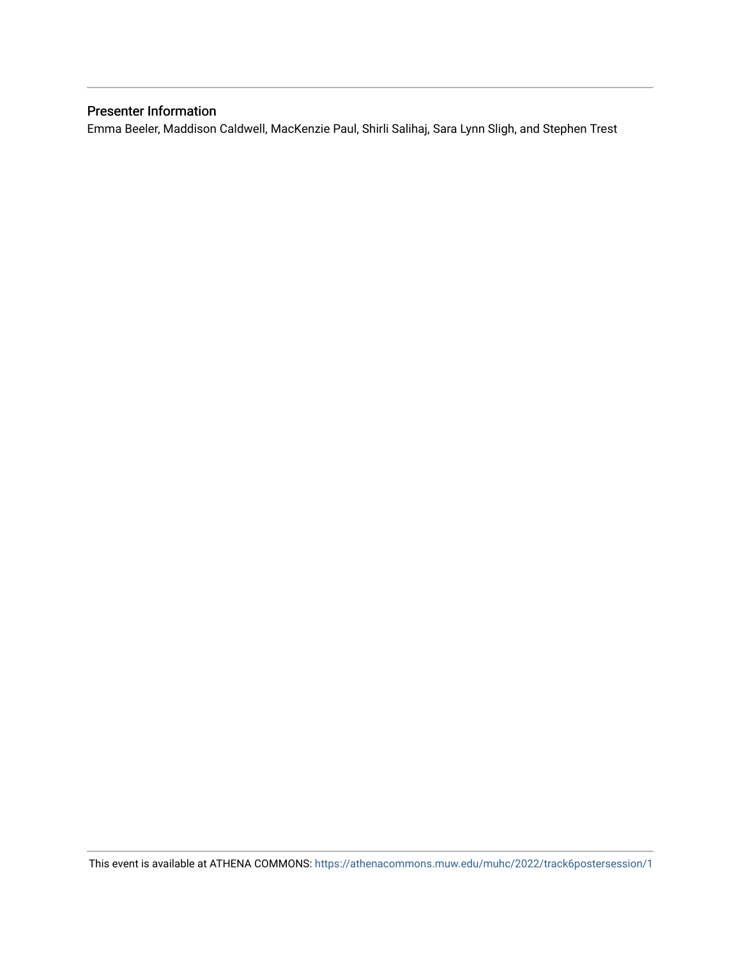### Presenter Information

Emma Beeler, Maddison Caldwell, MacKenzie Paul, Shirli Salihaj, Sara Lynn Sligh, and Stephen Trest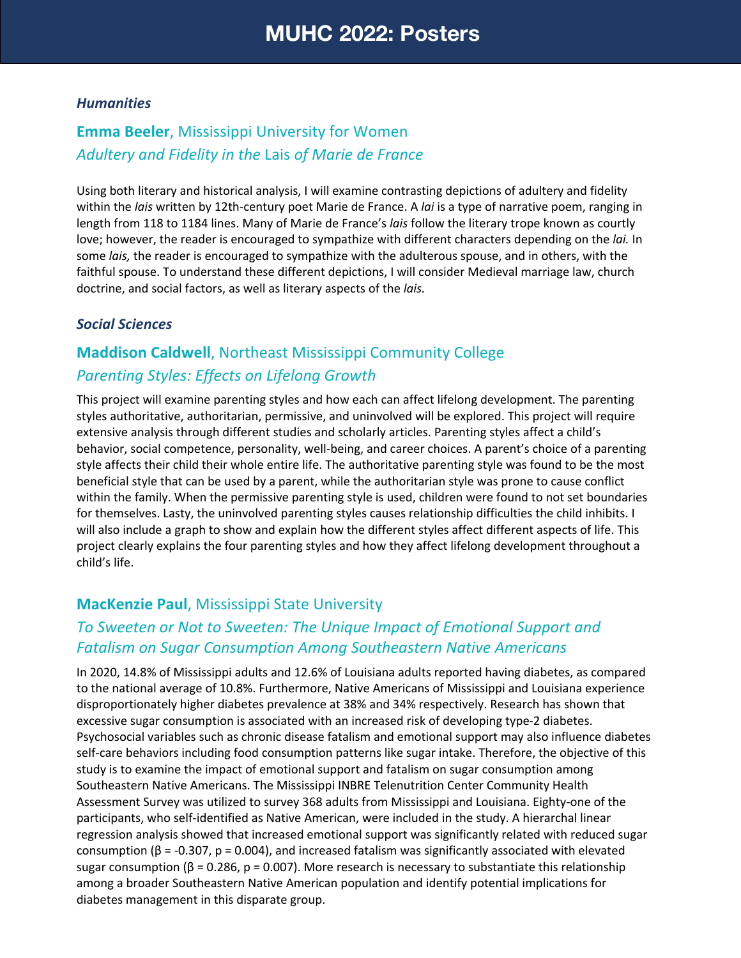#### *Humanities*

## **Emma Beeler**, Mississippi University for Women *Adultery and Fidelity in the* Lais *of Marie de France*

Using both literary and historical analysis, I will examine contrasting depictions of adultery and fidelity within the *lais* written by 12th-century poet Marie de France. A *lai* is a type of narrative poem, ranging in length from 118 to 1184 lines. Many of Marie de France's *lais* follow the literary trope known as courtly love; however, the reader is encouraged to sympathize with different characters depending on the *lai.* In some *lais,* the reader is encouraged to sympathize with the adulterous spouse, and in others, with the faithful spouse. To understand these different depictions, I will consider Medieval marriage law, church doctrine, and social factors, as well as literary aspects of the *lais.*

### *Social Sciences*

## **Maddison Caldwell**, Northeast Mississippi Community College *Parenting Styles: Effects on Lifelong Growth*

This project will examine parenting styles and how each can affect lifelong development. The parenting styles authoritative, authoritarian, permissive, and uninvolved will be explored. This project will require extensive analysis through different studies and scholarly articles. Parenting styles affect a child's behavior, social competence, personality, well-being, and career choices. A parent's choice of a parenting style affects their child their whole entire life. The authoritative parenting style was found to be the most beneficial style that can be used by a parent, while the authoritarian style was prone to cause conflict within the family. When the permissive parenting style is used, children were found to not set boundaries for themselves. Lasty, the uninvolved parenting styles causes relationship difficulties the child inhibits. I will also include a graph to show and explain how the different styles affect different aspects of life. This project clearly explains the four parenting styles and how they affect lifelong development throughout a child's life.

### **MacKenzie Paul**, Mississippi State University

### *To Sweeten or Not to Sweeten: The Unique Impact of Emotional Support and Fatalism on Sugar Consumption Among Southeastern Native Americans*

In 2020, 14.8% of Mississippi adults and 12.6% of Louisiana adults reported having diabetes, as compared to the national average of 10.8%. Furthermore, Native Americans of Mississippi and Louisiana experience disproportionately higher diabetes prevalence at 38% and 34% respectively. Research has shown that excessive sugar consumption is associated with an increased risk of developing type-2 diabetes. Psychosocial variables such as chronic disease fatalism and emotional support may also influence diabetes self-care behaviors including food consumption patterns like sugar intake. Therefore, the objective of this study is to examine the impact of emotional support and fatalism on sugar consumption among Southeastern Native Americans. The Mississippi INBRE Telenutrition Center Community Health Assessment Survey was utilized to survey 368 adults from Mississippi and Louisiana. Eighty-one of the participants, who self-identified as Native American, were included in the study. A hierarchal linear regression analysis showed that increased emotional support was significantly related with reduced sugar consumption (β = -0.307, p = 0.004), and increased fatalism was significantly associated with elevated sugar consumption ( $\beta$  = 0.286, p = 0.007). More research is necessary to substantiate this relationship among a broader Southeastern Native American population and identify potential implications for diabetes management in this disparate group.